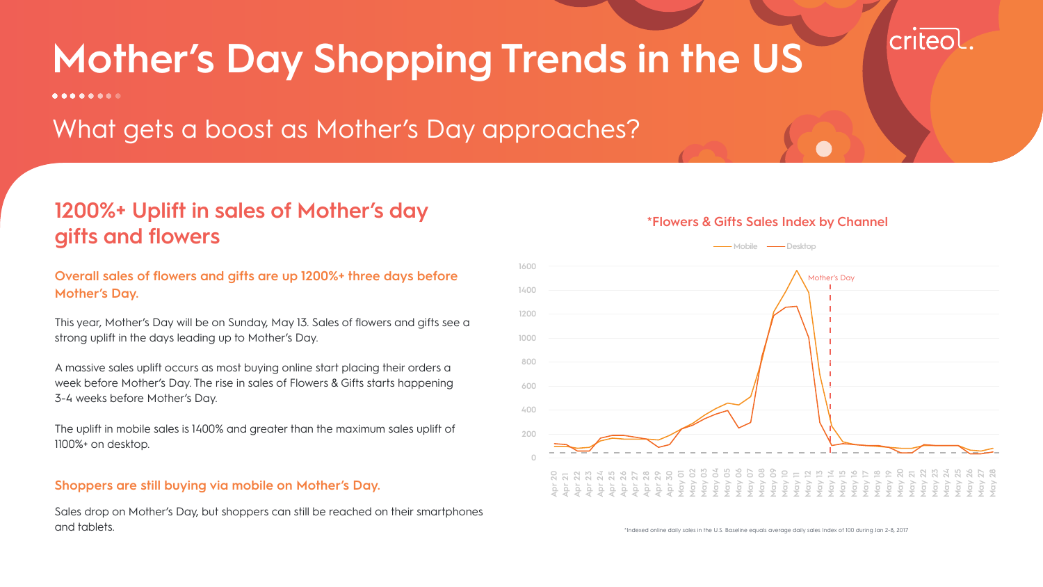This year, Mother's Day will be on Sunday, May 13. Sales of flowers and gifts see a strong uplift in the days leading up to Mother's Day.

A massive sales uplift occurs as most buying online start placing their orders a week before Mother's Day. The rise in sales of Flowers & Gifts starts happening 3-4 weeks before Mother's Day.

The uplift in mobile sales is 1400% and greater than the maximum sales uplift of 1100%+ on desktop.

Sales drop on Mother's Day, but shoppers can still be reached on their smartphones and tablets.

# **1200%+ Uplift in sales of Mother's day gifts and flowers**

\*Indexed online daily sales in the U.S. Baseline equals average daily sales Index of 100 during Jan 2-8, 2017

criteol.

# **Mother's Day Shopping Trends in the US**

 $0 0 0 0 0 0 0 0$ 

What gets a boost as Mother's Day approaches?

# **Overall sales of flowers and gifts are up 1200%+ three days before Mother's Day.**

# **Shoppers are still buying via mobile on Mother's Day.**



### **\*Flowers & Gifts Sales Index by Channel**